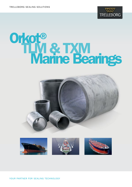

# Orkot® TLM & TXM<br>Marine Bearings



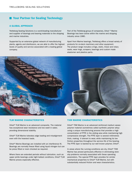## **Nour Partner for Sealing Technology**

#### A GLOBAL APPROACH

Trelleborg Sealing Solutions is a world-leading manufacturer and supplier of bearings and bearing materials to the shipping and marine industries.

Supported by an extensive global network of manufacturing plants, agents and distributors, we are able to offer the highest levels of quality and service associated with a leading global company.

Part of the Trelleborg group of companies, Orkot ® Marine Bearings has been active within the marine and shipping industry since 1980.

Apart from Marine bearings, Trelleborg offers a broad variety of products for on-deck machinery and other equipment. The product range includes o-rings, static, linear and rotary seals, wear rings, scrapers, bearings and custom made elastomer and plastics parts.



Orkot® TLM Marine is an advanced composite. The material has exceptional wear resistance and low swell in water, providing dimensional stability.

Orkot® TLM Marine tolerates edge loading and misalignment even with the heaviest loads.

Orkot® Marine Bearings are installed with an interference fit. Bearings are normally freeze fitted using liquid nitrogen but can be press fitted or resin chocked as required.

Where there are extended periods without lubrication, such as upper pintle bearings under light ballast conditions, Orkot®TLM Marine proves especially effective.

#### TLM MARINE CHARACTERISTICS **TXM MARINE CHARACTERISTICS**

Orkot® TXM Marine is an advanced reinforced medium weave polymer material (sometimes called synthetic polymer alloy) using a unique manufacturing process that provides a high concentration of PTFE in the sliding area while maintaining high compressive strength. The PTFE layer is several millimetres thick, making it tolerant to wear, while maintaining its low friction properties throughout the service life of the bearing. The PTFE layer is backed by our well known polymer, Orkot®.

In areas where the running conditions are dry, Orkot® TXM Marine has proved particularly effective in eliminating stickslip problems normally associated with these operating parameters. The special PTFE layer provides for similar mechanical properties to Orkot®TLM Marine, but with substantially reduced friction and wear characteristics.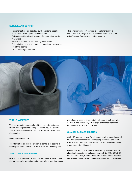#### SERVICE AND SUPPORT

- Recomendations on adapting our bearings to specific environmentaland operational conditions
- Calculation of bearing dimensions for internal or on site machining
- Technical assistance with bearing installations
- Full technical backup and support throughout the service life of the bearing
- 24 hour emergency support

This extensive support service is complimented by a comprehensive range of technical documentation and the Orkot®Marine Bearing Calculation program.



#### WORLD WIDE WEB

Visit our website for general and technical information on Orkot® marine products and applications. You will also be able to view and download certificates, literature and other documents.

#### www.orkotmarine.com

For information on Trelleborg's entire portfolio of sealing & bearing solutions please look under www.tss.trelleborg.com.

#### WORLD WIDE AVAILABILITY

Orkot® TLM & TXM Marine stock tubes can be shipped same day via our world wide distribution network. In addition we can manufacture specific sizes in both tube and sheet form within 24 hours and can supply a full range of finished-machined products quickly and economically.

#### QUALITY & CLASSIFICATION

AS 9100 approval is held for all manufacturing operations and internal systems while in-house testing resources are used extensively to simulate the extreme operational environments where the material is used.

Orkot®TLM and TXM Marine is approved by all major marine classification societies including: Lloyds, DNV, ABS, KRS, CCS, DNV-GL, IRS, RINA, BV and Class NKK. Copies of our approval certificates can be viewed and downloaded from our websites.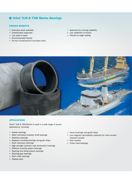# **Orkot TLM & TXM Marine Bearings**

#### PROVEN BENEFITS

- Extensive stock available
- Classification approvals
- Low swell in water
- Environmentally friendly
- 24 hour turnaround for non-stock sizes
- Approved dry running capability
- Low coefficient of friction
- Tolerant to edge loading



#### APPLICATIONS

Orkot® TLM & TXM Marine is used in a wide range of proven applications, including:

- Rudder bearings
- Water lubricated propeller shaft bearings
- Stabilizer bearings
- Weapons handling bearings and guide strips
- Deck machinery bearings
- High strength synthetic rope termination bushings
- Offshore mooring system bearings
- Steering and diving system bearings
- Steering gear bearings
- Stern roller bearings
- Slipway pads
- Sonar bushings and guide strips
- Low magnetic permeability materials for mine counter measure vessels
- Door bushes
- Crane mast bearings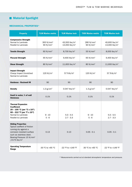# **Material Spotlight**

### MECHANICAL PROPERTIES\*

| <b>Property</b>                                                                                                                                                                                             | <b>TLM Marine metric</b>            | <b>TLM Marine inch</b>                                   | <b>TXM Marine metric</b>                      | <b>TXM Marine inch</b>                                   |
|-------------------------------------------------------------------------------------------------------------------------------------------------------------------------------------------------------------|-------------------------------------|----------------------------------------------------------|-----------------------------------------------|----------------------------------------------------------|
| <b>Compressive Strength</b><br>Normal to Laminate<br>Parallel to Laminate                                                                                                                                   | 300 N/mm <sup>2</sup><br>90 $N/mm2$ | 43,500 lbs/in <sup>2</sup><br>13,000 lbs/in <sup>2</sup> | 280 N/mm <sup>2</sup><br>90 N/mm <sup>2</sup> | 40,600 lbs/in <sup>2</sup><br>13,000 lbs/in <sup>2</sup> |
| <b>Tensile Strength</b>                                                                                                                                                                                     | 60 $N/mm2$                          | 8,700 lbs/in <sup>2</sup>                                | 55 N/mm <sup>2</sup>                          | 8,000 lbs/in <sup>2</sup>                                |
| <b>Flexural Strength</b>                                                                                                                                                                                    | 65 $N/mm2$                          | 9,400 lbs/in <sup>2</sup>                                | 65 N/mm <sup>2</sup>                          | 9,400 lbs/in <sup>2</sup>                                |
| <b>Shear Strength</b>                                                                                                                                                                                       | 80 N/mm <sup>2</sup>                | 11,600 lbs/in $2$                                        | 80 N/mm <sup>2</sup>                          | 11,600 lbs/in $2$                                        |
| <b>Impact Strength</b><br>Charpy Impact Unnotched<br>Normal to Laminate                                                                                                                                     | 120 KJ/ $m^2$                       | 57 ft-lb/in $2$                                          | 120 KJ/ $m^2$                                 | 57 ft-lb/in $2$                                          |
| <b>Hardness - Rockwell M</b>                                                                                                                                                                                | 90                                  | 90                                                       | 90                                            | 90                                                       |
| <b>Density</b>                                                                                                                                                                                              | 1.3 $g/cm3$                         | $0.047$ lbs/in <sup>3</sup>                              | 1.3 $g/cm3$                                   | $0.047$ lbs/in <sup>3</sup>                              |
| Swell in water, % of wall<br>thickness                                                                                                                                                                      | 0.1%                                | 0.1%                                                     | 0.1%                                          | 0.1%                                                     |
| <b>Thermal Expansion</b><br><b>Coefficient</b><br>20 – 100 °C (per °C x 10 <sup>-5</sup> )<br>68 – 212 °F (per °F x 10 <sup>-5</sup> )<br>Normal to Laminate<br>Parallel to Laminate                        | $9 - 10$<br>$5 - 6$                 | $5.0 - 5.5$<br>$2.7 - 3.3$                               | $9 - 10$<br>$5 - 6$                           | $5.0 - 5.5$<br>$2.7 - 3.3$                               |
| <b>Sliding Properties</b><br>Typical coeffient of friction<br>running dry against a<br>corrosion resistant surface<br>such as stainless steel.<br>Bearing Pressure 15 N/mm <sup>2</sup><br>/2175 lbs/in $2$ | 0.13                                | 0.13                                                     | $0.05 - 0.1$                                  | $0.05 - 0.1$                                             |
| <b>Operating Temperature</b><br>Range                                                                                                                                                                       | -30 °C to +65 °C                    | -22 °F to +149 °F                                        | -30 °C to +65 °C                              | -22 °F to +149 °F                                        |

\* Measurements carried out at standard atmospheric temperature and pressure.